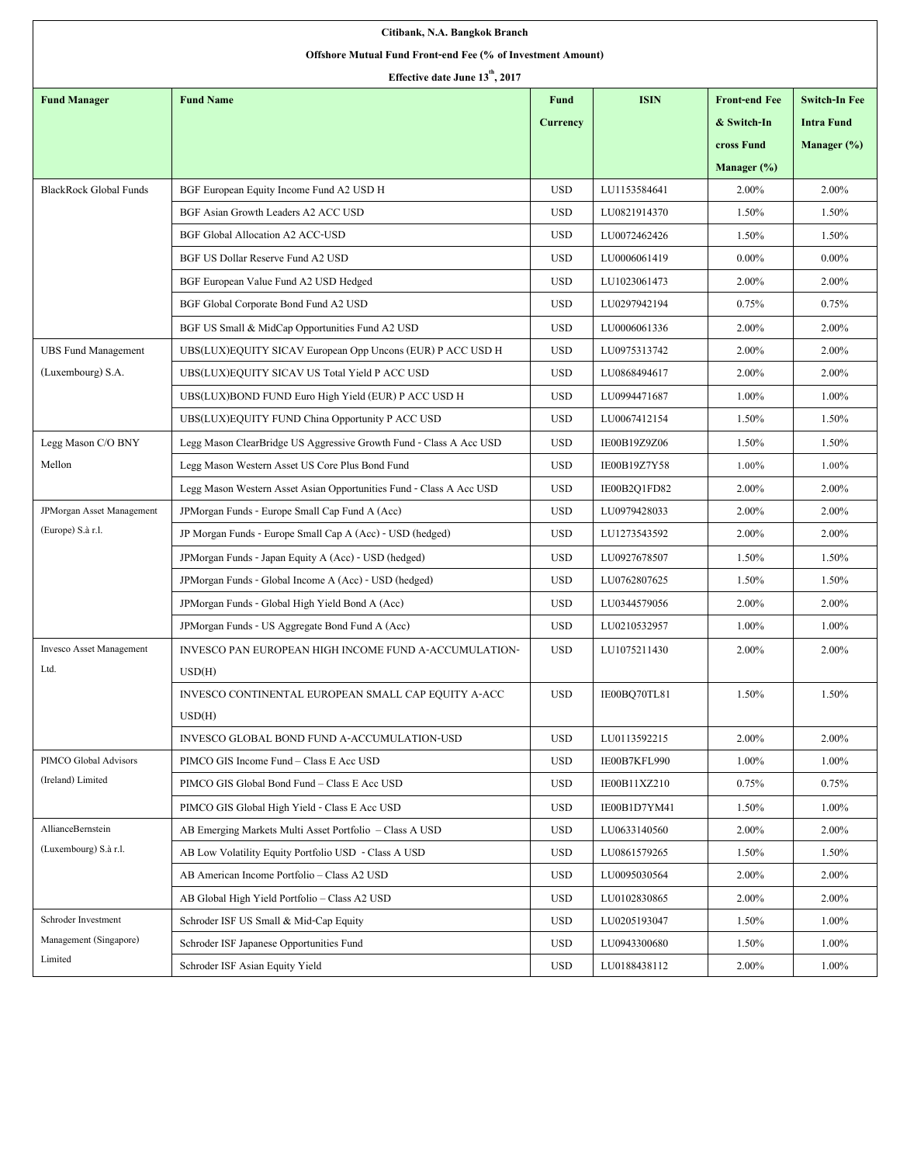| Citibank, N.A. Bangkok Branch                               |                                                                     |                 |              |                      |                      |
|-------------------------------------------------------------|---------------------------------------------------------------------|-----------------|--------------|----------------------|----------------------|
| Offshore Mutual Fund Front-end Fee (% of Investment Amount) |                                                                     |                 |              |                      |                      |
| Effective date June 13 <sup>th</sup> , 2017                 |                                                                     |                 |              |                      |                      |
| <b>Fund Manager</b>                                         | <b>Fund Name</b>                                                    | <b>Fund</b>     | <b>ISIN</b>  | <b>Front-end Fee</b> | <b>Switch-In Fee</b> |
|                                                             |                                                                     | <b>Currency</b> |              | & Switch-In          | <b>Intra Fund</b>    |
|                                                             |                                                                     |                 |              | cross Fund           | Manager $(\%)$       |
|                                                             |                                                                     |                 |              | Manager $(\%)$       |                      |
| <b>BlackRock Global Funds</b>                               | BGF European Equity Income Fund A2 USD H                            | <b>USD</b>      | LU1153584641 | 2.00%                | 2.00%                |
|                                                             | BGF Asian Growth Leaders A2 ACC USD                                 | <b>USD</b>      | LU0821914370 | 1.50%                | 1.50%                |
|                                                             | <b>BGF Global Allocation A2 ACC-USD</b>                             | <b>USD</b>      | LU0072462426 | 1.50%                | 1.50%                |
|                                                             | BGF US Dollar Reserve Fund A2 USD                                   | <b>USD</b>      | LU0006061419 | $0.00\%$             | $0.00\%$             |
|                                                             | BGF European Value Fund A2 USD Hedged                               | <b>USD</b>      | LU1023061473 | 2.00%                | 2.00%                |
|                                                             | BGF Global Corporate Bond Fund A2 USD                               | <b>USD</b>      | LU0297942194 | 0.75%                | 0.75%                |
|                                                             | BGF US Small & MidCap Opportunities Fund A2 USD                     | <b>USD</b>      | LU0006061336 | 2.00%                | 2.00%                |
| <b>UBS Fund Management</b>                                  | UBS(LUX)EQUITY SICAV European Opp Uncons (EUR) P ACC USD H          | <b>USD</b>      | LU0975313742 | 2.00%                | 2.00%                |
| (Luxembourg) S.A.                                           | UBS(LUX)EQUITY SICAV US Total Yield P ACC USD                       | <b>USD</b>      | LU0868494617 | 2.00%                | 2.00%                |
|                                                             | UBS(LUX)BOND FUND Euro High Yield (EUR) P ACC USD H                 | <b>USD</b>      | LU0994471687 | 1.00%                | 1.00%                |
|                                                             | UBS(LUX)EQUITY FUND China Opportunity P ACC USD                     | <b>USD</b>      | LU0067412154 | 1.50%                | 1.50%                |
| Legg Mason C/O BNY                                          | Legg Mason ClearBridge US Aggressive Growth Fund - Class A Acc USD  | <b>USD</b>      | IE00B19Z9Z06 | 1.50%                | 1.50%                |
| Mellon                                                      | Legg Mason Western Asset US Core Plus Bond Fund                     | <b>USD</b>      | IE00B19Z7Y58 | 1.00%                | 1.00%                |
|                                                             | Legg Mason Western Asset Asian Opportunities Fund - Class A Acc USD | <b>USD</b>      | IE00B2Q1FD82 | 2.00%                | 2.00%                |
| <b>JPMorgan Asset Management</b>                            | JPMorgan Funds - Europe Small Cap Fund A (Acc)                      | <b>USD</b>      | LU0979428033 | 2.00%                | 2.00%                |
| (Europe) S.à r.l.                                           | JP Morgan Funds - Europe Small Cap A (Acc) - USD (hedged)           | <b>USD</b>      | LU1273543592 | 2.00%                | 2.00%                |
|                                                             | JPMorgan Funds - Japan Equity A (Acc) - USD (hedged)                | <b>USD</b>      | LU0927678507 | 1.50%                | 1.50%                |
|                                                             | JPMorgan Funds - Global Income A (Acc) - USD (hedged)               | <b>USD</b>      | LU0762807625 | 1.50%                | 1.50%                |
|                                                             | JPMorgan Funds - Global High Yield Bond A (Acc)                     | <b>USD</b>      | LU0344579056 | 2.00%                | 2.00%                |
|                                                             | JPMorgan Funds - US Aggregate Bond Fund A (Acc)                     | <b>USD</b>      | LU0210532957 | 1.00%                | 1.00%                |
| Invesco Asset Management                                    | INVESCO PAN EUROPEAN HIGH INCOME FUND A-ACCUMULATION-               | <b>USD</b>      | LU1075211430 | 2.00%                | 2.00%                |
| Ltd.                                                        | USD(H)                                                              |                 |              |                      |                      |
|                                                             | INVESCO CONTINENTAL EUROPEAN SMALL CAP EQUITY A-ACC                 | <b>USD</b>      | IE00BQ70TL81 | 1.50%                | 1.50%                |
|                                                             | USD(H)                                                              |                 |              |                      |                      |
|                                                             | INVESCO GLOBAL BOND FUND A-ACCUMULATION-USD                         | <b>USD</b>      | LU0113592215 | 2.00%                | 2.00%                |
| PIMCO Global Advisors                                       | PIMCO GIS Income Fund - Class E Acc USD                             | <b>USD</b>      | IE00B7KFL990 | 1.00%                | 1.00%                |
| (Ireland) Limited                                           | PIMCO GIS Global Bond Fund - Class E Acc USD                        | <b>USD</b>      | IE00B11XZ210 | 0.75%                | 0.75%                |
|                                                             | PIMCO GIS Global High Yield - Class E Acc USD                       | <b>USD</b>      | IE00B1D7YM41 | 1.50%                | 1.00%                |
| <b>AllianceBernstein</b>                                    | AB Emerging Markets Multi Asset Portfolio - Class A USD             | <b>USD</b>      | LU0633140560 | 2.00%                | 2.00%                |
| (Luxembourg) S.à r.l.                                       | AB Low Volatility Equity Portfolio USD - Class A USD                | <b>USD</b>      | LU0861579265 | 1.50%                | 1.50%                |
|                                                             | AB American Income Portfolio - Class A2 USD                         | <b>USD</b>      | LU0095030564 | 2.00%                | 2.00%                |
|                                                             | AB Global High Yield Portfolio - Class A2 USD                       | <b>USD</b>      | LU0102830865 | 2.00%                | 2.00%                |
| Schroder Investment                                         | Schroder ISF US Small & Mid-Cap Equity                              | <b>USD</b>      | LU0205193047 | 1.50%                | 1.00%                |
| Management (Singapore)                                      | Schroder ISF Japanese Opportunities Fund                            | <b>USD</b>      | LU0943300680 | 1.50%                | 1.00%                |
| Limited                                                     | Schroder ISF Asian Equity Yield                                     | <b>USD</b>      | LU0188438112 | 2.00%                | 1.00%                |